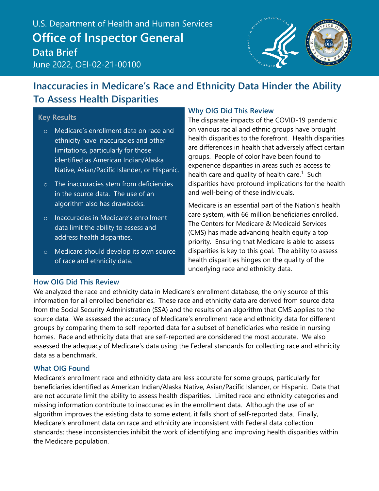U.S. Department of Health and Human Services U.S. Department of Health and Human Services **Office of Inspector General Office of Inspector General Data Brief** March 2022, OEI-02-21-00100 June 2022, OEI-02-21-00100



## **Inaccuracies in Medicare's Race and Ethnicity Data Hinder the Ability To Assess Health Disparities**

#### **Key Results**

- o Medicare's enrollment data on race and ethnicity have inaccuracies and other limitations, particularly for those identified as American Indian/Alaska Native, Asian/Pacific Islander, or Hispanic.
- o The inaccuracies stem from deficiencies in the source data. The use of an algorithm also has drawbacks.
- o Inaccuracies in Medicare's enrollment data limit the ability to assess and address health disparities.
- o Medicare should develop its own source of race and ethnicity data.

#### **Why OIG Did This Review**

The disparate impacts of the COVID-19 pandemic on various racial and ethnic groups have brought health disparities to the forefront. Health disparities are differences in health that adversely affect certain groups. People of color have been found to experience disparities in areas such as access to health care and quality of health care.<sup>[1](#page-23-0)</sup> Such disparities have profound implications for the health and well-being of these individuals.

Medicare is an essential part of the Nation's health care system, with 66 million beneficiaries enrolled. The Centers for Medicare & Medicaid Services (CMS) has made advancing health equity a top priority. Ensuring that Medicare is able to assess disparities is key to this goal. The ability to assess health disparities hinges on the quality of the underlying race and ethnicity data.

#### **How OIG Did This Review**

We analyzed the race and ethnicity data in Medicare's enrollment database, the only source of this information for all enrolled beneficiaries. These race and ethnicity data are derived from source data from the Social Security Administration (SSA) and the results of an algorithm that CMS applies to the source data. We assessed the accuracy of Medicare's enrollment race and ethnicity data for different groups by comparing them to self-reported data for a subset of beneficiaries who reside in nursing homes. Race and ethnicity data that are self-reported are considered the most accurate. We also assessed the adequacy of Medicare's data using the Federal standards for collecting race and ethnicity data as a benchmark.

#### **What OIG Found**

Medicare's enrollment race and ethnicity data are less accurate for some groups, particularly for beneficiaries identified as American Indian/Alaska Native, Asian/Pacific Islander, or Hispanic. Data that are not accurate limit the ability to assess health disparities. Limited race and ethnicity categories and missing information contribute to inaccuracies in the enrollment data. Although the use of an algorithm improves the existing data to some extent, it falls short of self-reported data. Finally, Medicare's enrollment data on race and ethnicity are inconsistent with Federal data collection standards; these inconsistencies inhibit the work of identifying and improving health disparities within the Medicare population.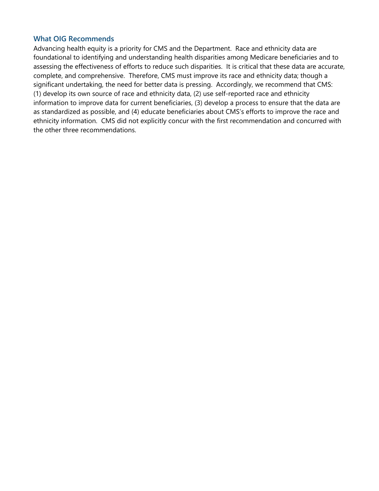#### **What OIG Recommends**

Advancing health equity is a priority for CMS and the Department. Race and ethnicity data are foundational to identifying and understanding health disparities among Medicare beneficiaries and to assessing the effectiveness of efforts to reduce such disparities. It is critical that these data are accurate, complete, and comprehensive. Therefore, CMS must improve its race and ethnicity data; though a significant undertaking, the need for better data is pressing. Accordingly, we recommend that CMS: (1) develop its own source of race and ethnicity data, (2) use self-reported race and ethnicity information to improve data for current beneficiaries, (3) develop a process to ensure that the data are as standardized as possible, and (4) educate beneficiaries about CMS's efforts to improve the race and ethnicity information. CMS did not explicitly concur with the first recommendation and concurred with the other three recommendations.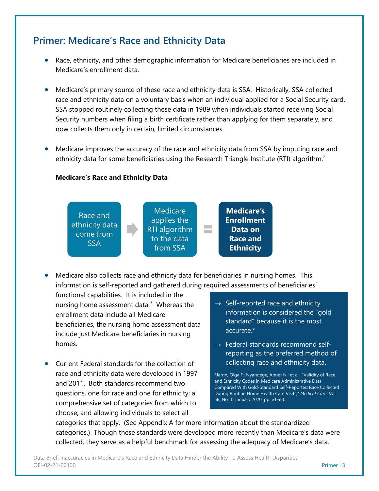## **Primer: Medicare's Race and Ethnicity Data**

- Race, ethnicity, and other demographic information for Medicare beneficiaries are included in Medicare's enrollment data.
- Medicare's primary source of these race and ethnicity data is SSA. Historically, SSA collected race and ethnicity data on a voluntary basis when an individual applied for a Social Security card. SSA stopped routinely collecting these data in 1989 when individuals started receiving Social Security numbers when filing a birth certificate rather than applying for them separately, and now collects them only in certain, limited circumstances.
- Medicare improves the accuracy of the race and ethnicity data from SSA by imputing race and ethnicity data for some beneficiaries using the Research Triangle Institute (RTI) algorithm.<sup>[2](#page-23-1)</sup>

#### **Medicare's Race and Ethnicity Data**



• Medicare also collects race and ethnicity data for beneficiaries in nursing homes. This information is self-reported and gathered during required assessments of beneficiaries'

functional capabilities. It is included in the nursing home assessment data.<sup>[3](#page-23-2)</sup> Whereas the enrollment data include all Medicare beneficiaries, the nursing home assessment data include just Medicare beneficiaries in nursing homes.

- Current Federal standards for the collection of race and ethnicity data were developed in 1997 and 2011. Both standards recommend two questions, one for race and one for ethnicity; a comprehensive set of categories from which to choose; and allowing individuals to select all
- $\rightarrow$  Self-reported race and ethnicity information is considered the "gold standard" because it is the most accurate.\*
- $\rightarrow$  Federal standards recommend selfreporting as the preferred method of collecting race and ethnicity data.

\*Jarrín, Olga F.; Nyandege, Abner N.; et al., "Validity of Race and Ethnicity Codes in Medicare Administrative Data Compared With Gold-Standard Self-Reported Race Collected During Routine Home Health Care Visits," *Medical Care*, Vol. 58, No. 1, January 2020, pp. e1–e8.

categories that apply. (See Appendix A for more information about the standardized categories.) Though these standards were developed more recently than Medicare's data were collected, they serve as a helpful benchmark for assessing the adequacy of Medicare's data.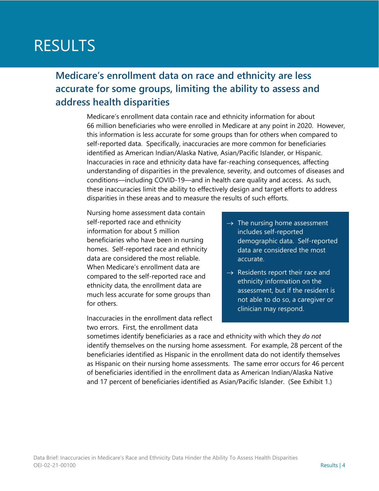# RESULTS

**Medicare's enrollment data on race and ethnicity are less accurate for some groups, limiting the ability to assess and address health disparities**

> Medicare's enrollment data contain race and ethnicity information for about 66 million beneficiaries who were enrolled in Medicare at any point in 2020. However, this information is less accurate for some groups than for others when compared to self-reported data. Specifically, inaccuracies are more common for beneficiaries identified as American Indian/Alaska Native, Asian/Pacific Islander, or Hispanic. Inaccuracies in race and ethnicity data have far-reaching consequences, affecting understanding of disparities in the prevalence, severity, and outcomes of diseases and conditions—including COVID-19—and in health care quality and access. As such, these inaccuracies limit the ability to effectively design and target efforts to address disparities in these areas and to measure the results of such efforts.

Nursing home assessment data contain self-reported race and ethnicity information for about 5 million beneficiaries who have been in nursing homes. Self-reported race and ethnicity data are considered the most reliable. When Medicare's enrollment data are compared to the self-reported race and ethnicity data, the enrollment data are much less accurate for some groups than for others.

Inaccuracies in the enrollment data reflect two errors. First, the enrollment data

- $\rightarrow$  The nursing home assessment includes self-reported demographic data. Self-reported data are considered the most accurate.
- $\rightarrow$  Residents report their race and ethnicity information on the assessment, but if the resident is not able to do so, a caregiver or clinician may respond.

sometimes identify beneficiaries as a race and ethnicity with which they *do not* identify themselves on the nursing home assessment. For example, 28 percent of the beneficiaries identified as Hispanic in the enrollment data do not identify themselves as Hispanic on their nursing home assessments. The same error occurs for 46 percent of beneficiaries identified in the enrollment data as American Indian/Alaska Native and 17 percent of beneficiaries identified as Asian/Pacific Islander. (See Exhibit 1.)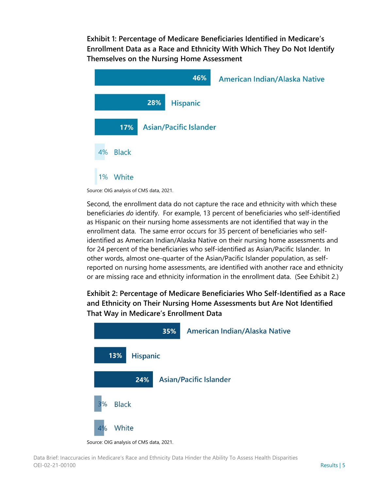**Exhibit 1: Percentage of Medicare Beneficiaries Identified in Medicare's Enrollment Data as a Race and Ethnicity With Which They Do Not Identify Themselves on the Nursing Home Assessment**

|                    |                               | 46%             | <b>American Indian/Alaska Native</b> |
|--------------------|-------------------------------|-----------------|--------------------------------------|
|                    | 28%                           | <b>Hispanic</b> |                                      |
| 17%                | <b>Asian/Pacific Islander</b> |                 |                                      |
| <b>Black</b><br>4% |                               |                 |                                      |
| White<br>1%        |                               |                 |                                      |

Source: OIG analysis of CMS data, 2021.

Second, the enrollment data do not capture the race and ethnicity with which these beneficiaries *do* identify. For example, 13 percent of beneficiaries who self-identified as Hispanic on their nursing home assessments are not identified that way in the enrollment data. The same error occurs for 35 percent of beneficiaries who selfidentified as American Indian/Alaska Native on their nursing home assessments and for 24 percent of the beneficiaries who self-identified as Asian/Pacific Islander. In other words, almost one-quarter of the Asian/Pacific Islander population, as selfreported on nursing home assessments, are identified with another race and ethnicity or are missing race and ethnicity information in the enrollment data. (See Exhibit 2.)

### **Exhibit 2: Percentage of Medicare Beneficiaries Who Self-Identified as a Race and Ethnicity on Their Nursing Home Assessments but Are Not Identified That Way in Medicare's Enrollment Data**



Source: OIG analysis of CMS data, 2021.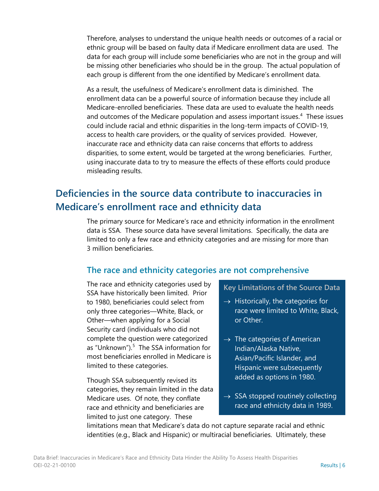Therefore, analyses to understand the unique health needs or outcomes of a racial or ethnic group will be based on faulty data if Medicare enrollment data are used. The data for each group will include some beneficiaries who are not in the group and will be missing other beneficiaries who should be in the group. The actual population of each group is different from the one identified by Medicare's enrollment data.

As a result, the usefulness of Medicare's enrollment data is diminished. The enrollment data can be a powerful source of information because they include all Medicare-enrolled beneficiaries. These data are used to evaluate the health needs and outcomes of the Medicare population and assess important issues.<sup>[4](#page-23-3)</sup> These issues could include racial and ethnic disparities in the long-term impacts of COVID-19, access to health care providers, or the quality of services provided. However, inaccurate race and ethnicity data can raise concerns that efforts to address disparities, to some extent, would be targeted at the wrong beneficiaries. Further, using inaccurate data to try to measure the effects of these efforts could produce misleading results.

## **Deficiencies in the source data contribute to inaccuracies in Medicare's enrollment race and ethnicity data**

The primary source for Medicare's race and ethnicity information in the enrollment data is SSA. These source data have several limitations. Specifically, the data are limited to only a few race and ethnicity categories and are missing for more than 3 million beneficiaries.

### **The race and ethnicity categories are not comprehensive**

The race and ethnicity categories used by SSA have historically been limited. Prior to 1980, beneficiaries could select from only three categories—White, Black, or Other—when applying for a Social Security card (individuals who did not complete the question were categorized as "Unknown").<sup>[5](#page-23-4)</sup> The SSA information for most beneficiaries enrolled in Medicare is limited to these categories.

Though SSA subsequently revised its categories, they remain limited in the data Medicare uses. Of note, they conflate race and ethnicity and beneficiaries are limited to just one category. These

#### **Key Limitations of the Source Data**

- $\rightarrow$  Historically, the categories for race were limited to White, Black, or Other.
- $\rightarrow$  The categories of American Indian/Alaska Native, Asian/Pacific Islander, and Hispanic were subsequently added as options in 1980.
- $\rightarrow$  SSA stopped routinely collecting race and ethnicity data in 1989.

limitations mean that Medicare's data do not capture separate racial and ethnic identities (e.g., Black and Hispanic) or multiracial beneficiaries. Ultimately, these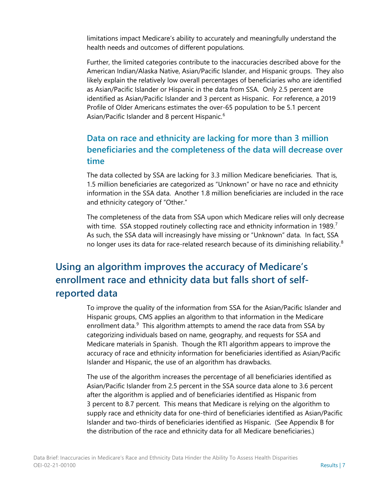limitations impact Medicare's ability to accurately and meaningfully understand the health needs and outcomes of different populations.

Further, the limited categories contribute to the inaccuracies described above for the American Indian/Alaska Native, Asian/Pacific Islander, and Hispanic groups. They also likely explain the relatively low overall percentages of beneficiaries who are identified as Asian/Pacific Islander or Hispanic in the data from SSA. Only 2.5 percent are identified as Asian/Pacific Islander and 3 percent as Hispanic. For reference, a 2019 Profile of Older Americans estimates the over-65 population to be 5.1 percent Asian/Pacific Islander and 8 percent Hispanic.<sup>[6](#page-23-5)</sup>

### **Data on race and ethnicity are lacking for more than 3 million beneficiaries and the completeness of the data will decrease over time**

The data collected by SSA are lacking for 3.3 million Medicare beneficiaries. That is, 1.5 million beneficiaries are categorized as "Unknown" or have no race and ethnicity information in the SSA data. Another 1.8 million beneficiaries are included in the race and ethnicity category of "Other."

The completeness of the data from SSA upon which Medicare relies will only decrease with time. SSA stopped routinely collecting race and ethnicity information in 1989.<sup>[7](#page-23-6)</sup> As such, the SSA data will increasingly have missing or "Unknown" data. In fact, SSA no longer uses its data for race-related research because of its diminishing reliability. $8$ 

## **Using an algorithm improves the accuracy of Medicare's enrollment race and ethnicity data but falls short of selfreported data**

To improve the quality of the information from SSA for the Asian/Pacific Islander and Hispanic groups, CMS applies an algorithm to that information in the Medicare enrollment data.<sup>[9](#page-23-8)</sup> This algorithm attempts to amend the race data from SSA by categorizing individuals based on name, geography, and requests for SSA and Medicare materials in Spanish. Though the RTI algorithm appears to improve the accuracy of race and ethnicity information for beneficiaries identified as Asian/Pacific Islander and Hispanic, the use of an algorithm has drawbacks.

The use of the algorithm increases the percentage of all beneficiaries identified as Asian/Pacific Islander from 2.5 percent in the SSA source data alone to 3.6 percent after the algorithm is applied and of beneficiaries identified as Hispanic from 3 percent to 8.7 percent. This means that Medicare is relying on the algorithm to supply race and ethnicity data for one-third of beneficiaries identified as Asian/Pacific Islander and two-thirds of beneficiaries identified as Hispanic. (See Appendix B for the distribution of the race and ethnicity data for all Medicare beneficiaries.)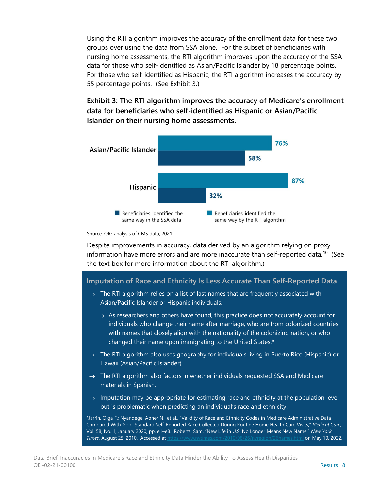Using the RTI algorithm improves the accuracy of the enrollment data for these two groups over using the data from SSA alone. For the subset of beneficiaries with nursing home assessments, the RTI algorithm improves upon the accuracy of the SSA data for those who self-identified as Asian/Pacific Islander by 18 percentage points. For those who self-identified as Hispanic, the RTI algorithm increases the accuracy by 55 percentage points. (See Exhibit 3.)

**Exhibit 3: The RTI algorithm improves the accuracy of Medicare's enrollment data for beneficiaries who self-identified as Hispanic or Asian/Pacific Islander on their nursing home assessments.** 



Source: OIG analysis of CMS data, 2021.

Despite improvements in accuracy, data derived by an algorithm relying on proxy information have more errors and are more inaccurate than self-reported data.<sup>[10](#page-23-9)</sup> (See the text box for more information about the RTI algorithm.)

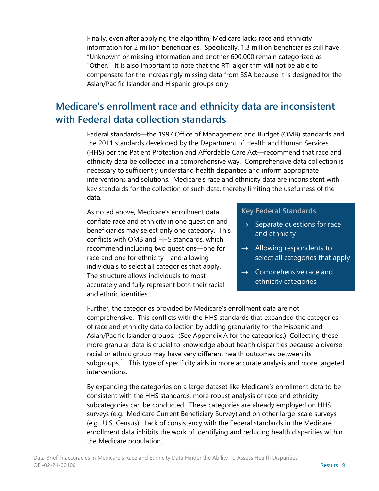Finally, even after applying the algorithm, Medicare lacks race and ethnicity information for 2 million beneficiaries. Specifically, 1.3 million beneficiaries still have "Unknown" or missing information and another 600,000 remain categorized as "Other." It is also important to note that the RTI algorithm will not be able to compensate for the increasingly missing data from SSA because it is designed for the Asian/Pacific Islander and Hispanic groups only.

## **Medicare's enrollment race and ethnicity data are inconsistent with Federal data collection standards**

Federal standards—the 1997 Office of Management and Budget (OMB) standards and the 2011 standards developed by the Department of Health and Human Services (HHS) per the Patient Protection and Affordable Care Act—recommend that race and ethnicity data be collected in a comprehensive way. Comprehensive data collection is necessary to sufficiently understand health disparities and inform appropriate interventions and solutions. Medicare's race and ethnicity data are inconsistent with key standards for the collection of such data, thereby limiting the usefulness of the data.

As noted above, Medicare's enrollment data conflate race and ethnicity in one question and beneficiaries may select only one category. This conflicts with OMB and HHS standards, which recommend including two questions—one for race and one for ethnicity—and allowing individuals to select all categories that apply. The structure allows individuals to most accurately and fully represent both their racial and ethnic identities.

#### **Key Federal Standards**

- $\rightarrow$  Separate questions for race and ethnicity
- $\rightarrow$  Allowing respondents to select all categories that apply
- $\rightarrow$  Comprehensive race and ethnicity categories

Further, the categories provided by Medicare's enrollment data are not comprehensive. This conflicts with the HHS standards that expanded the categories of race and ethnicity data collection by adding granularity for the Hispanic and Asian/Pacific Islander groups. (See Appendix A for the categories.) Collecting these more granular data is crucial to knowledge about health disparities because a diverse racial or ethnic group may have very different health outcomes between its subgroups.<sup>[11](#page-23-10)</sup> This type of specificity aids in more accurate analysis and more targeted interventions.

By expanding the categories on a large dataset like Medicare's enrollment data to be consistent with the HHS standards, more robust analysis of race and ethnicity subcategories can be conducted. These categories are already employed on HHS surveys (e.g., Medicare Current Beneficiary Survey) and on other large-scale surveys (e.g., U.S. Census). Lack of consistency with the Federal standards in the Medicare enrollment data inhibits the work of identifying and reducing health disparities within the Medicare population.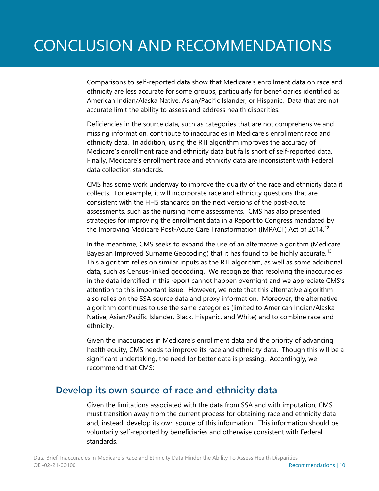# CONCLUSION AND RECOMMENDATIONS

Comparisons to self-reported data show that Medicare's enrollment data on race and ethnicity are less accurate for some groups, particularly for beneficiaries identified as American Indian/Alaska Native, Asian/Pacific Islander, or Hispanic. Data that are not accurate limit the ability to assess and address health disparities.

Deficiencies in the source data, such as categories that are not comprehensive and missing information, contribute to inaccuracies in Medicare's enrollment race and ethnicity data. In addition, using the RTI algorithm improves the accuracy of Medicare's enrollment race and ethnicity data but falls short of self-reported data. Finally, Medicare's enrollment race and ethnicity data are inconsistent with Federal data collection standards.

CMS has some work underway to improve the quality of the race and ethnicity data it collects. For example, it will incorporate race and ethnicity questions that are consistent with the HHS standards on the next versions of the post-acute assessments, such as the nursing home assessments. CMS has also presented strategies for improving the enrollment data in a Report to Congress mandated by the Improving Medicare Post-Acute Care Transformation (IMPACT) Act of 2014.<sup>[12](#page-23-11)</sup>

In the meantime, CMS seeks to expand the use of an alternative algorithm (Medicare Bayesian Improved Surname Geocoding) that it has found to be highly accurate.<sup>13</sup> This algorithm relies on similar inputs as the RTI algorithm, as well as some additional data, such as Census-linked geocoding. We recognize that resolving the inaccuracies in the data identified in this report cannot happen overnight and we appreciate CMS's attention to this important issue. However, we note that this alternative algorithm also relies on the SSA source data and proxy information. Moreover, the alternative algorithm continues to use the same categories (limited to American Indian/Alaska Native, Asian/Pacific Islander, Black, Hispanic, and White) and to combine race and ethnicity.

Given the inaccuracies in Medicare's enrollment data and the priority of advancing health equity, CMS needs to improve its race and ethnicity data. Though this will be a significant undertaking, the need for better data is pressing. Accordingly, we recommend that CMS:

### **Develop its own source of race and ethnicity data**

Given the limitations associated with the data from SSA and with imputation, CMS must transition away from the current process for obtaining race and ethnicity data and, instead, develop its own source of this information. This information should be voluntarily self-reported by beneficiaries and otherwise consistent with Federal standards.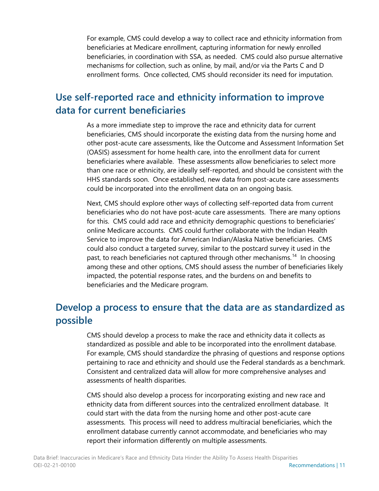For example, CMS could develop a way to collect race and ethnicity information from beneficiaries at Medicare enrollment, capturing information for newly enrolled beneficiaries, in coordination with SSA, as needed. CMS could also pursue alternative mechanisms for collection, such as online, by mail, and/or via the Parts C and D enrollment forms. Once collected, CMS should reconsider its need for imputation.

## **Use self-reported race and ethnicity information to improve data for current beneficiaries**

As a more immediate step to improve the race and ethnicity data for current beneficiaries, CMS should incorporate the existing data from the nursing home and other post-acute care assessments, like the Outcome and Assessment Information Set (OASIS) assessment for home health care, into the enrollment data for current beneficiaries where available. These assessments allow beneficiaries to select more than one race or ethnicity, are ideally self-reported, and should be consistent with the HHS standards soon. Once established, new data from post-acute care assessments could be incorporated into the enrollment data on an ongoing basis.

Next, CMS should explore other ways of collecting self-reported data from current beneficiaries who do not have post-acute care assessments. There are many options for this. CMS could add race and ethnicity demographic questions to beneficiaries' online Medicare accounts. CMS could further collaborate with the Indian Health Service to improve the data for American Indian/Alaska Native beneficiaries. CMS could also conduct a targeted survey, similar to the postcard survey it used in the past, to reach beneficiaries not captured through other mechanisms.<sup>[14](#page-23-13)</sup> In choosing among these and other options, CMS should assess the number of beneficiaries likely impacted, the potential response rates, and the burdens on and benefits to beneficiaries and the Medicare program.

## **Develop a process to ensure that the data are as standardized as possible**

CMS should develop a process to make the race and ethnicity data it collects as standardized as possible and able to be incorporated into the enrollment database. For example, CMS should standardize the phrasing of questions and response options pertaining to race and ethnicity and should use the Federal standards as a benchmark. Consistent and centralized data will allow for more comprehensive analyses and assessments of health disparities.

CMS should also develop a process for incorporating existing and new race and ethnicity data from different sources into the centralized enrollment database. It could start with the data from the nursing home and other post-acute care assessments. This process will need to address multiracial beneficiaries, which the enrollment database currently cannot accommodate, and beneficiaries who may report their information differently on multiple assessments.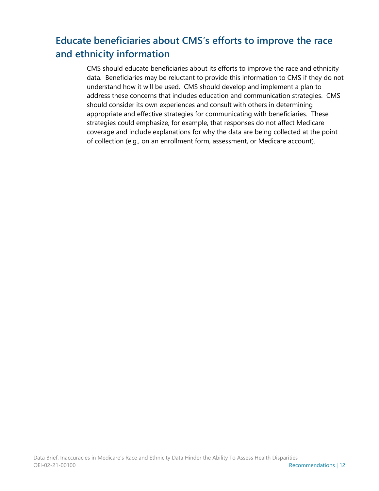## **Educate beneficiaries about CMS's efforts to improve the race and ethnicity information**

CMS should educate beneficiaries about its efforts to improve the race and ethnicity data. Beneficiaries may be reluctant to provide this information to CMS if they do not understand how it will be used. CMS should develop and implement a plan to address these concerns that includes education and communication strategies. CMS should consider its own experiences and consult with others in determining appropriate and effective strategies for communicating with beneficiaries. These strategies could emphasize, for example, that responses do not affect Medicare coverage and include explanations for why the data are being collected at the point of collection (e.g., on an enrollment form, assessment, or Medicare account).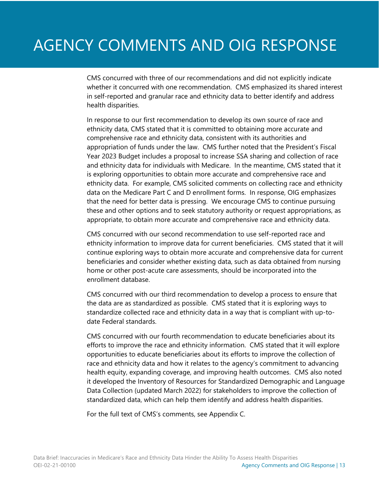# AGENCY COMMENTS AND OIG RESPONSE

CMS concurred with three of our recommendations and did not explicitly indicate whether it concurred with one recommendation. CMS emphasized its shared interest in self-reported and granular race and ethnicity data to better identify and address health disparities.

In response to our first recommendation to develop its own source of race and ethnicity data, CMS stated that it is committed to obtaining more accurate and comprehensive race and ethnicity data, consistent with its authorities and appropriation of funds under the law. CMS further noted that the President's Fiscal Year 2023 Budget includes a proposal to increase SSA sharing and collection of race and ethnicity data for individuals with Medicare. In the meantime, CMS stated that it is exploring opportunities to obtain more accurate and comprehensive race and ethnicity data. For example, CMS solicited comments on collecting race and ethnicity data on the Medicare Part C and D enrollment forms. In response, OIG emphasizes that the need for better data is pressing. We encourage CMS to continue pursuing these and other options and to seek statutory authority or request appropriations, as appropriate, to obtain more accurate and comprehensive race and ethnicity data.

CMS concurred with our second recommendation to use self-reported race and ethnicity information to improve data for current beneficiaries. CMS stated that it will continue exploring ways to obtain more accurate and comprehensive data for current beneficiaries and consider whether existing data, such as data obtained from nursing home or other post-acute care assessments, should be incorporated into the enrollment database.

CMS concurred with our third recommendation to develop a process to ensure that the data are as standardized as possible. CMS stated that it is exploring ways to standardize collected race and ethnicity data in a way that is compliant with up-todate Federal standards.

CMS concurred with our fourth recommendation to educate beneficiaries about its efforts to improve the race and ethnicity information. CMS stated that it will explore opportunities to educate beneficiaries about its efforts to improve the collection of race and ethnicity data and how it relates to the agency's commitment to advancing health equity, expanding coverage, and improving health outcomes. CMS also noted it developed the Inventory of Resources for Standardized Demographic and Language Data Collection (updated March 2022) for stakeholders to improve the collection of standardized data, which can help them identify and address health disparities.

For the full text of CMS's comments, see Appendix C.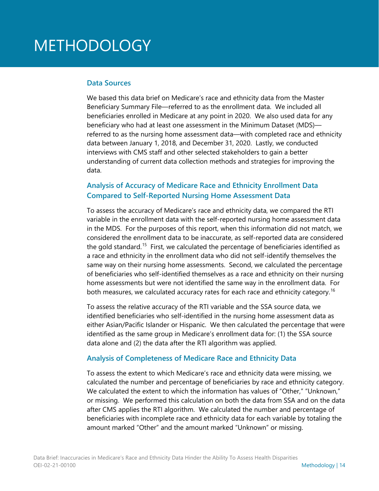# METHODOLOGY

#### **Data Sources**

We based this data brief on Medicare's race and ethnicity data from the Master Beneficiary Summary File—referred to as the enrollment data. We included all beneficiaries enrolled in Medicare at any point in 2020. We also used data for any beneficiary who had at least one assessment in the Minimum Dataset (MDS) referred to as the nursing home assessment data—with completed race and ethnicity data between January 1, 2018, and December 31, 2020. Lastly, we conducted interviews with CMS staff and other selected stakeholders to gain a better understanding of current data collection methods and strategies for improving the data.

#### **Analysis of Accuracy of Medicare Race and Ethnicity Enrollment Data Compared to Self-Reported Nursing Home Assessment Data**

To assess the accuracy of Medicare's race and ethnicity data, we compared the RTI variable in the enrollment data with the self-reported nursing home assessment data in the MDS. For the purposes of this report, when this information did not match, we considered the enrollment data to be inaccurate, as self-reported data are considered the gold standard.<sup>[15](#page-23-14)</sup> First, we calculated the percentage of beneficiaries identified as a race and ethnicity in the enrollment data who did not self-identify themselves the same way on their nursing home assessments. Second, we calculated the percentage of beneficiaries who self-identified themselves as a race and ethnicity on their nursing home assessments but were not identified the same way in the enrollment data. For both measures, we calculated accuracy rates for each race and ethnicity category.<sup>[16](#page-23-15)</sup>

To assess the relative accuracy of the RTI variable and the SSA source data, we identified beneficiaries who self-identified in the nursing home assessment data as either Asian/Pacific Islander or Hispanic. We then calculated the percentage that were identified as the same group in Medicare's enrollment data for: (1) the SSA source data alone and (2) the data after the RTI algorithm was applied.

#### **Analysis of Completeness of Medicare Race and Ethnicity Data**

To assess the extent to which Medicare's race and ethnicity data were missing, we calculated the number and percentage of beneficiaries by race and ethnicity category. We calculated the extent to which the information has values of "Other," "Unknown," or missing. We performed this calculation on both the data from SSA and on the data after CMS applies the RTI algorithm. We calculated the number and percentage of beneficiaries with incomplete race and ethnicity data for each variable by totaling the amount marked "Other" and the amount marked "Unknown" or missing.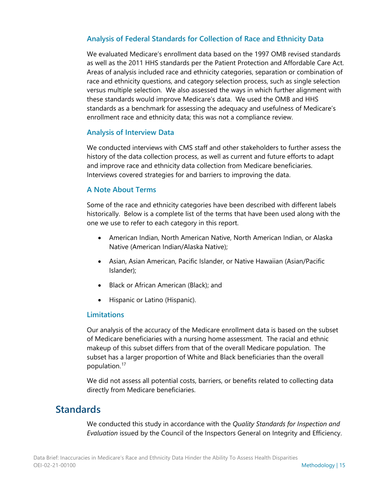#### **Analysis of Federal Standards for Collection of Race and Ethnicity Data**

We evaluated Medicare's enrollment data based on the 1997 OMB revised standards as well as the 2011 HHS standards per the Patient Protection and Affordable Care Act. Areas of analysis included race and ethnicity categories, separation or combination of race and ethnicity questions, and category selection process, such as single selection versus multiple selection. We also assessed the ways in which further alignment with these standards would improve Medicare's data. We used the OMB and HHS standards as a benchmark for assessing the adequacy and usefulness of Medicare's enrollment race and ethnicity data; this was not a compliance review.

#### **Analysis of Interview Data**

We conducted interviews with CMS staff and other stakeholders to further assess the history of the data collection process, as well as current and future efforts to adapt and improve race and ethnicity data collection from Medicare beneficiaries. Interviews covered strategies for and barriers to improving the data.

#### **A Note About Terms**

Some of the race and ethnicity categories have been described with different labels historically. Below is a complete list of the terms that have been used along with the one we use to refer to each category in this report.

- American Indian, North American Native, North American Indian, or Alaska Native (American Indian/Alaska Native);
- Asian, Asian American, Pacific Islander, or Native Hawaiian (Asian/Pacific Islander);
- Black or African American (Black); and
- Hispanic or Latino (Hispanic).

#### **Limitations**

Our analysis of the accuracy of the Medicare enrollment data is based on the subset of Medicare beneficiaries with a nursing home assessment. The racial and ethnic makeup of this subset differs from that of the overall Medicare population. The subset has a larger proportion of White and Black beneficiaries than the overall population.<sup>[17](#page-23-16)</sup>

We did not assess all potential costs, barriers, or benefits related to collecting data directly from Medicare beneficiaries.

### **Standards**

We conducted this study in accordance with the *Quality Standards for Inspection and Evaluation* issued by the Council of the Inspectors General on Integrity and Efficiency.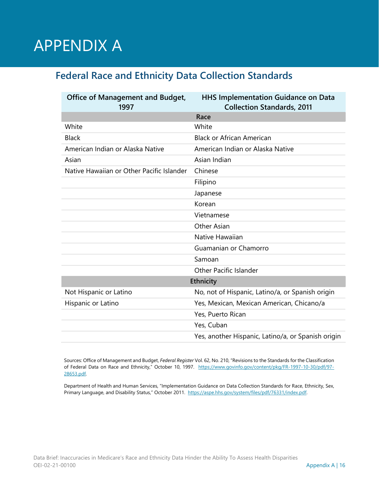# APPENDIX A

## **Federal Race and Ethnicity Data Collection Standards**

| <b>Office of Management and Budget,</b><br>1997 | <b>HHS Implementation Guidance on Data</b><br><b>Collection Standards, 2011</b> |  |  |
|-------------------------------------------------|---------------------------------------------------------------------------------|--|--|
|                                                 | Race                                                                            |  |  |
| White                                           | White                                                                           |  |  |
| <b>Black</b>                                    | <b>Black or African American</b>                                                |  |  |
| American Indian or Alaska Native                | American Indian or Alaska Native                                                |  |  |
| Asian                                           | Asian Indian                                                                    |  |  |
| Native Hawaiian or Other Pacific Islander       | Chinese                                                                         |  |  |
|                                                 | Filipino                                                                        |  |  |
|                                                 | Japanese                                                                        |  |  |
|                                                 | Korean                                                                          |  |  |
|                                                 | Vietnamese                                                                      |  |  |
|                                                 | Other Asian                                                                     |  |  |
|                                                 | Native Hawaiian                                                                 |  |  |
|                                                 | Guamanian or Chamorro                                                           |  |  |
|                                                 | Samoan                                                                          |  |  |
|                                                 | <b>Other Pacific Islander</b>                                                   |  |  |
| Ethnicity                                       |                                                                                 |  |  |
| Not Hispanic or Latino                          | No, not of Hispanic, Latino/a, or Spanish origin                                |  |  |
| Hispanic or Latino                              | Yes, Mexican, Mexican American, Chicano/a                                       |  |  |
|                                                 | Yes, Puerto Rican                                                               |  |  |
|                                                 | Yes, Cuban                                                                      |  |  |
|                                                 | Yes, another Hispanic, Latino/a, or Spanish origin                              |  |  |

Sources: Office of Management and Budget, *Federal Register* Vol. 62, No. 210, "Revisions to the Standards for the Classification of Federal Data on Race and Ethnicity," October 10, 1997. [https://www.govinfo.gov/content/pkg/FR-1997-10-30/pdf/97-](https://www.govinfo.gov/content/pkg/FR-1997-10-30/pdf/97-28653.pdf) [28653.pdf.](https://www.govinfo.gov/content/pkg/FR-1997-10-30/pdf/97-28653.pdf) 

Department of Health and Human Services, "Implementation Guidance on Data Collection Standards for Race, Ethnicity, Sex, Primary Language, and Disability Status," October 2011. [https://aspe.hhs.gov/system/files/pdf/76331/index.pdf.](https://aspe.hhs.gov/system/files/pdf/76331/index.pdf)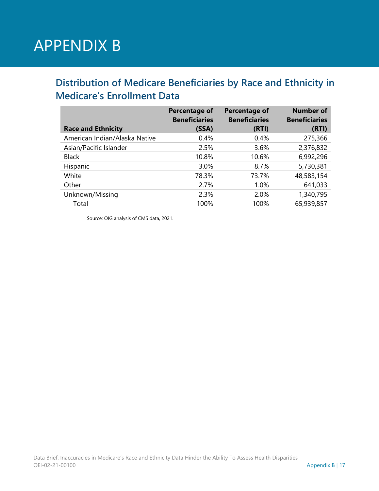# APPENDIX B

## **Distribution of Medicare Beneficiaries by Race and Ethnicity in Medicare's Enrollment Data**

|                               | Percentage of<br><b>Beneficiaries</b> | <b>Percentage of</b><br><b>Beneficiaries</b> | <b>Number of</b><br><b>Beneficiaries</b> |
|-------------------------------|---------------------------------------|----------------------------------------------|------------------------------------------|
| <b>Race and Ethnicity</b>     | (SSA)                                 | (RTI)                                        | (RTI)                                    |
| American Indian/Alaska Native | 0.4%                                  | $0.4\%$                                      | 275,366                                  |
| Asian/Pacific Islander        | 2.5%                                  | 3.6%                                         | 2,376,832                                |
| <b>Black</b>                  | 10.8%                                 | 10.6%                                        | 6,992,296                                |
| Hispanic                      | 3.0%                                  | 8.7%                                         | 5,730,381                                |
| White                         | 78.3%                                 | 73.7%                                        | 48,583,154                               |
| Other                         | 2.7%                                  | 1.0%                                         | 641,033                                  |
| Unknown/Missing               | 2.3%                                  | 2.0%                                         | 1,340,795                                |
| Total                         | 100%                                  | 100%                                         | 65,939,857                               |

Source: OIG analysis of CMS data, 2021.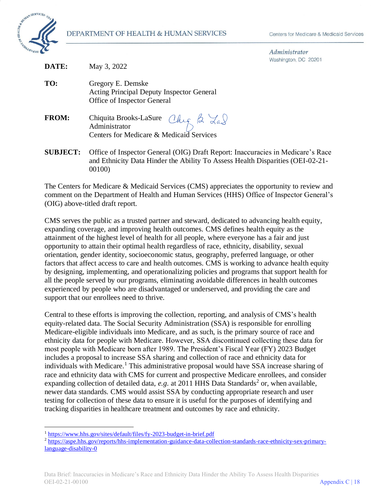

00100)

Administrator  $201$ 

| DATE:           | Washington, DC 20201<br>May 3, 2022                                                                                                                               |
|-----------------|-------------------------------------------------------------------------------------------------------------------------------------------------------------------|
| TO:             | Gregory E. Demske<br><b>Acting Principal Deputy Inspector General</b><br>Office of Inspector General                                                              |
| <b>FROM:</b>    | Chiquita Brooks-LaSure Chy 2 Las<br>Centers for Medicare & Medicaid Services                                                                                      |
| <b>SUBJECT:</b> | Office of Inspector General (OIG) Draft Report: Inaccuracies in Medicare's Race<br>and Ethnicity Data Hinder the Ability To Assess Health Disparities (OEI-02-21- |

The Centers for Medicare & Medicaid Services (CMS) appreciates the opportunity to review and comment on the Department of Health and Human Services (HHS) Office of Inspector General's (OIG) above-titled draft report.

CMS serves the public as a trusted partner and steward, dedicated to advancing health equity, expanding coverage, and improving health outcomes. CMS defines health equity as the attainment of the highest level of health for all people, where everyone has a fair and just opportunity to attain their optimal health regardless of race, ethnicity, disability, sexual orientation, gender identity, socioeconomic status, geography, preferred language, or other factors that affect access to care and health outcomes. CMS is working to advance health equity by designing, implementing, and operationalizing policies and programs that support health for all the people served by our programs, eliminating avoidable differences in health outcomes experienced by people who are disadvantaged or underserved, and providing the care and support that our enrollees need to thrive.

Central to these efforts is improving the collection, reporting, and analysis of CMS's health equity-related data. The Social Security Administration (SSA) is responsible for enrolling Medicare-eligible individuals into Medicare, and as such, is the primary source of race and ethnicity data for people with Medicare. However, SSA discontinued collecting these data for most people with Medicare born after 1989. The President's Fiscal Year (FY) 2023 Budget includes a proposal to increase SSA sharing and collection of race and ethnicity data for individuals with Medicare.<sup>1</sup> This administrative proposal would have SSA increase sharing of race and ethnicity data with CMS for current and prospective Medicare enrollees, and consider expanding collection of detailed data, *e.g.* at 2011 HHS Data Standards<sup>2</sup> or, when available, newer data standards. CMS would assist SSA by conducting appropriate research and user testing for collection of these data to ensure it is useful for the purposes of identifying and tracking disparities in healthcare treatment and outcomes by race and ethnicity.

<sup>&</sup>lt;sup>1</sup> https://www.hhs.gov/sites/default/files/fy-2023-budget-in-brief.pdf

<sup>&</sup>lt;sup>2</sup> https://aspe.hhs.gov/reports/hhs-implementation-guidance-data-collection-standards-race-ethnicity-sex-primarylanguage-disability-0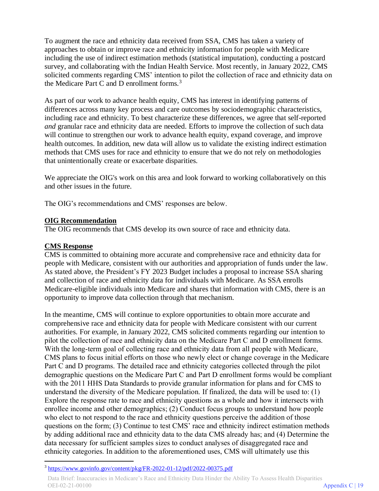To augment the race and ethnicity data received from SSA, CMS has taken a variety of approaches to obtain or improve race and ethnicity information for people with Medicare including the use of indirect estimation methods (statistical imputation), conducting a postcard survey, and collaborating with the Indian Health Service. Most recently, in January 2022, CMS solicited comments regarding CMS' intention to pilot the collection of race and ethnicity data on the Medicare Part C and D enrollment forms. $3$ 

As part of our work to advance health equity, CMS has interest in identifying patterns of differences across many key process and care outcomes by sociodemographic characteristics, including race and ethnicity. To best characterize these differences, we agree that self-reported *and* granular race and ethnicity data are needed. Efforts to improve the collection of such data will continue to strengthen our work to advance health equity, expand coverage, and improve health outcomes. In addition, new data will allow us to validate the existing indirect estimation methods that CMS uses for race and ethnicity to ensure that we do not rely on methodologies that unintentionally create or exacerbate disparities.

We appreciate the OIG's work on this area and look forward to working collaboratively on this and other issues in the future.

The OIG's recommendations and CMS' responses are below.

#### **OIG Recommendation**

The OIG recommends that CMS develop its own source of race and ethnicity data.

#### **CMS Response**

CMS is committed to obtaining more accurate and comprehensive race and ethnicity data for people with Medicare, consistent with our authorities and appropriation of funds under the law. As stated above, the President's FY 2023 Budget includes a proposal to increase SSA sharing and collection of race and ethnicity data for individuals with Medicare. As SSA enrolls Medicare-eligible individuals into Medicare and shares that information with CMS, there is an opportunity to improve data collection through that mechanism.

In the meantime, CMS will continue to explore opportunities to obtain more accurate and comprehensive race and ethnicity data for people with Medicare consistent with our current authorities. For example, in January 2022, CMS solicited comments regarding our intention to pilot the collection of race and ethnicity data on the Medicare Part C and D enrollment forms. With the long-term goal of collecting race and ethnicity data from all people with Medicare, CMS plans to focus initial efforts on those who newly elect or change coverage in the Medicare Part C and D programs. The detailed race and ethnicity categories collected through the pilot demographic questions on the Medicare Part C and Part D enrollment forms would be compliant with the 2011 HHS Data Standards to provide granular information for plans and for CMS to understand the diversity of the Medicare population. If finalized, the data will be used to: (1) Explore the response rate to race and ethnicity questions as a whole and how it intersects with enrollee income and other demographics; (2) Conduct focus groups to understand how people who elect to not respond to the race and ethnicity questions perceive the addition of those questions on the form; (3) Continue to test CMS' race and ethnicity indirect estimation methods by adding additional race and ethnicity data to the data CMS already has; and (4) Determine the data necessary for sufficient samples sizes to conduct analyses of disaggregated race and ethnicity categories. In addition to the aforementioned uses, CMS will ultimately use this

<sup>3</sup> https://www.govinfo.gov/content/pkg/FR-2022-01-12/pdf/2022-00375.pdf

Data Brief: Inaccuracies in Medicare's Race and Ethnicity Data Hinder the Ability To Assess Health Disparities OEI-02-21-00100 Appendix C | 19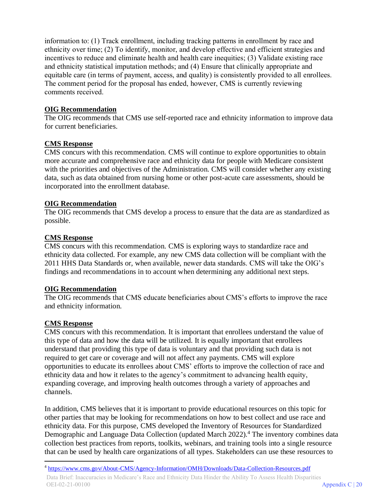information to: (1) Track enrollment, including tracking patterns in enrollment by race and ethnicity over time; (2) To identify, monitor, and develop effective and efficient strategies and incentives to reduce and eliminate health and health care inequities; (3) Validate existing race and ethnicity statistical imputation methods; and (4) Ensure that clinically appropriate and equitable care (in terms of payment, access, and quality) is consistently provided to all enrollees. The comment period for the proposal has ended, however, CMS is currently reviewing comments received.

#### **OIG Recommendation**

The OIG recommends that CMS use self-reported race and ethnicity information to improve data for current beneficiaries.

#### **CMS Response**

CMS concurs with this recommendation. CMS will continue to explore opportunities to obtain more accurate and comprehensive race and ethnicity data for people with Medicare consistent with the priorities and objectives of the Administration. CMS will consider whether any existing data, such as data obtained from nursing home or other post-acute care assessments, should be incorporated into the enrollment database.

#### **OIG Recommendation**

The OIG recommends that CMS develop a process to ensure that the data are as standardized as possible.

#### **CMS Response**

CMS concurs with this recommendation. CMS is exploring ways to standardize race and ethnicity data collected. For example, any new CMS data collection will be compliant with the 2011 HHS Data Standards or, when available, newer data standards. CMS will take the OIG's findings and recommendations in to account when determining any additional next steps.

#### **OIG Recommendation**

The OIG recommends that CMS educate beneficiaries about CMS's efforts to improve the race and ethnicity information.

#### **CMS Response**

CMS concurs with this recommendation. It is important that enrollees understand the value of this type of data and how the data will be utilized. It is equally important that enrollees understand that providing this type of data is voluntary and that providing such data is not required to get care or coverage and will not affect any payments. CMS will explore opportunities to educate its enrollees about CMS' efforts to improve the collection of race and ethnicity data and how it relates to the agency's commitment to advancing health equity, expanding coverage, and improving health outcomes through a variety of approaches and channels.

In addition, CMS believes that it is important to provide educational resources on this topic for other parties that may be looking for recommendations on how to best collect and use race and ethnicity data. For this purpose, CMS developed the Inventory of Resources for Standardized Demographic and Language Data Collection (updated March 2022).<sup>4</sup> The inventory combines data collection best practices from reports, toolkits, webinars, and training tools into a single resource that can be used by health care organizations of all types. Stakeholders can use these resources to

<sup>4</sup> https://www.cms.gov/About-CMS/Agency-Information/OMH/Downloads/Data-Collection-Resources.pdf Data Brief: Inaccuracies in Medicare's Race and Ethnicity Data Hinder the Ability To Assess Health Disparities OEI-02-21-00100 Appendix C | 20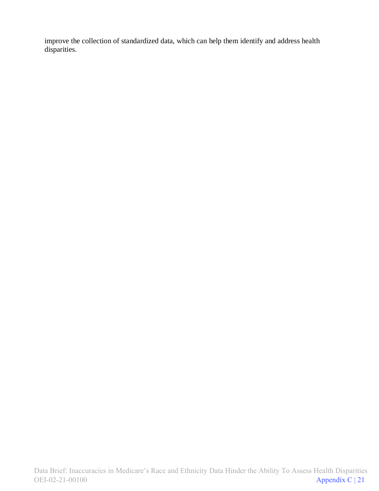improve the collection of standardized data, which can help them identify and address health disparities.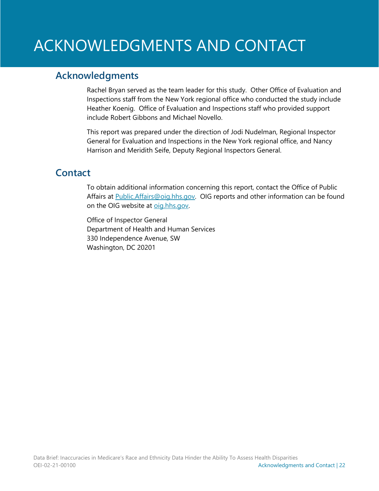# ACKNOWLEDGMENTS AND CONTACT

### **Acknowledgments**

Rachel Bryan served as the team leader for this study. Other Office of Evaluation and Inspections staff from the New York regional office who conducted the study include Heather Koenig. Office of Evaluation and Inspections staff who provided support include Robert Gibbons and Michael Novello.

This report was prepared under the direction of Jodi Nudelman, Regional Inspector General for Evaluation and Inspections in the New York regional office, and Nancy Harrison and Meridith Seife, Deputy Regional Inspectors General.

### **Contact**

To obtain additional information concerning this report, contact the Office of Public Affairs at **Public.Affairs@oig.hhs.gov.** OIG reports and other information can be found on the OIG website at oig.hhs.gov.

Office of Inspector General Department of Health and Human Services 330 Independence Avenue, SW Washington, DC 20201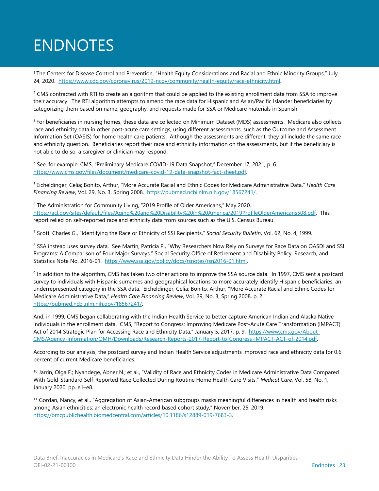# **ENDNOTES**

1 The Centers for Disease Control and Prevention, "Health Equity Considerations and Racial and Ethnic Minority Groups," July 24, 2020. [https://www.cdc.gov/coronavirus/2019-ncov/community/health-equity/race-ethnicity.html.](https://www.cdc.gov/coronavirus/2019-ncov/community/health-equity/race-ethnicity.html) 

 $2$  CMS contracted with RTI to create an algorithm that could be applied to the existing enrollment data from SSA to improve their accuracy. The RTI algorithm attempts to amend the race data for Hispanic and Asian/Pacific Islander beneficiaries by categorizing them based on name, geography, and requests made for SSA or Medicare materials in Spanish.

<sup>3</sup> For beneficiaries in nursing homes, these data are collected on Minimum Dataset (MDS) assessments. Medicare also collects race and ethnicity data in other post-acute care settings, using different assessments, such as the Outcome and Assessment Information Set (OASIS) for home health care patients. Although the assessments are different, they all include the same race and ethnicity question. Beneficiaries report their race and ethnicity information on the assessments, but if the beneficiary is not able to do so, a caregiver or clinician may respond.

<sup>4</sup> See, for example, CMS, "Preliminary Medicare COVID-19 Data Snapshot," December 17, 2021, p. 6. [https://www.cms.gov/files/document/medicare-covid-19-data-snapshot-fact-sheet.pdf.](https://www.cms.gov/files/document/medicare-covid-19-data-snapshot-fact-sheet.pdf) 

5 Eicheldinger, Celia; Bonito, Arthur, "More Accurate Racial and Ethnic Codes for Medicare Administrative Data," *Health Care Financing Review*, Vol. 29, No. 3, Spring 2008. [https://pubmed.ncbi.nlm.nih.gov/18567241/.](https://pubmed.ncbi.nlm.nih.gov/18567241/)

<sup>6</sup> The Administration for Community Living, "2019 Profile of Older Americans," May 2020. [https://acl.gov/sites/default/files/Aging%20and%20Disability%20in%20America/2019ProfileOlderAmericans508.pdf.](https://acl.gov/sites/default/files/Aging%20and%20Disability%20in%20America/2019ProfileOlderAmericans508.pdf) This report relied on self-reported race and ethnicity data from sources such as the U.S. Census Bureau.

<sup>7</sup> Scott, Charles G., "Identifying the Race or Ethnicity of SSI Recipients," *Social Security Bulletin*, Vol. 62, No. 4, 1999.

8 SSA instead uses survey data. See Martin, Patricia P., "Why Researchers Now Rely on Surveys for Race Data on OASDI and SSI Programs: A Comparison of Four Major Surveys," Social Security Office of Retirement and Disability Policy, Research, and Statistics Note No. 2016-01. [https://www.ssa.gov/policy/docs/rsnotes/rsn2016-01.html.](https://www.ssa.gov/policy/docs/rsnotes/rsn2016-01.html) 

<sup>9</sup> In addition to the algorithm, CMS has taken two other actions to improve the SSA source data. In 1997, CMS sent a postcard survey to individuals with Hispanic surnames and geographical locations to more accurately identify Hispanic beneficiaries, an underrepresented category in the SSA data. Eicheldinger, Celia; Bonito, Arthur, "More Accurate Racial and Ethnic Codes for Medicare Administrative Data," *Health Care Financing Review*, Vol. 29, No. 3, Spring 2008, p. 2. [https://pubmed.ncbi.nlm.nih.gov/18567241/.](https://pubmed.ncbi.nlm.nih.gov/18567241/) 

And, in 1999, CMS began collaborating with the Indian Health Service to better capture American Indian and Alaska Native individuals in the enrollment data. CMS, "Report to Congress: Improving Medicare Post-Acute Care Transformation (IMPACT) Act of 2014 Strategic Plan for Accessing Race and Ethnicity Data," January 5, 2017, p. 9. [https://www.cms.gov/About-](https://www.cms.gov/About-CMS/Agency-Information/OMH/Downloads/Research-Reports-2017-Report-to-Congress-IMPACT-ACT-of-2014.pdf)[CMS/Agency-Information/OMH/Downloads/Research-Reports-2017-Report-to-Congress-IMPACT-ACT-of-2014.pdf.](https://www.cms.gov/About-CMS/Agency-Information/OMH/Downloads/Research-Reports-2017-Report-to-Congress-IMPACT-ACT-of-2014.pdf)

According to our analysis, the postcard survey and Indian Health Service adjustments improved race and ethnicity data for 0.6 percent of current Medicare beneficiaries.

<sup>10</sup> Jarrín, Olga F.; Nyandege, Abner N.; et al., "Validity of Race and Ethnicity Codes in Medicare Administrative Data Compared With Gold-Standard Self-Reported Race Collected During Routine Home Health Care Visits," *Medical Care*, Vol. 58, No. 1, January 2020, pp. e1–e8.

<sup>11</sup> Gordan, Nancy, et al., "Aggregation of Asian-American subgroups masks meaningful differences in health and health risks among Asian ethnicities: an electronic health record based cohort study," November, 25, 2019. [https://bmcpublichealth.biomedcentral.com/articles/10.1186/s12889-019-7683-3.](https://bmcpublichealth.biomedcentral.com/articles/10.1186/s12889-019-7683-3)